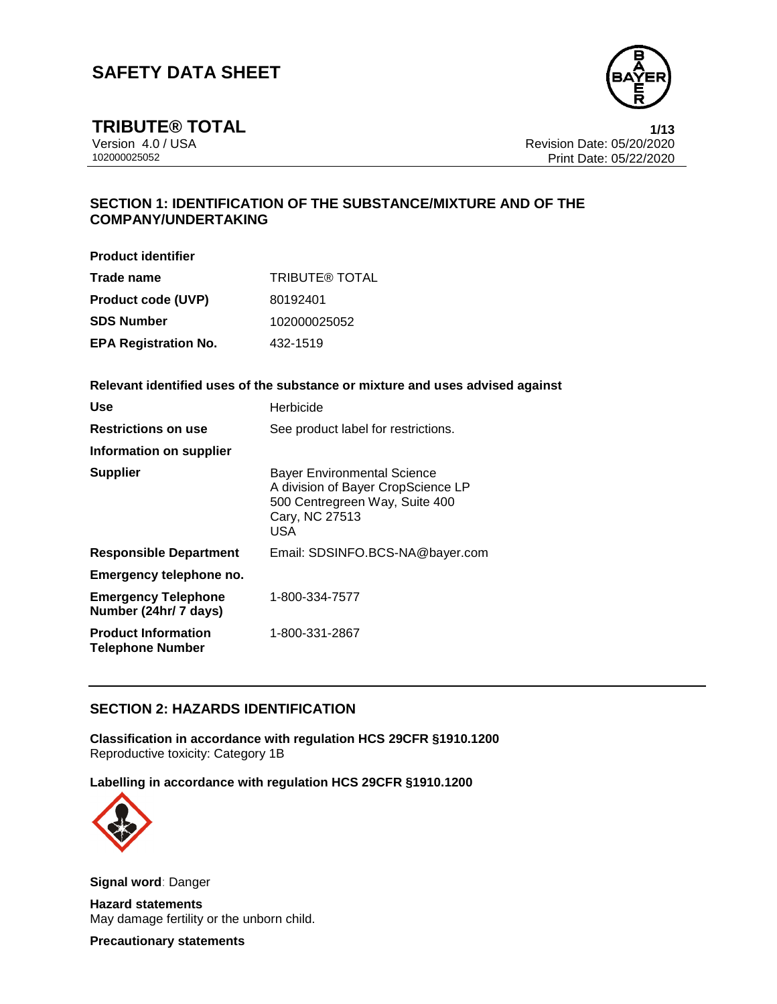

**TRIBUTE® TOTAL 1/13**

Version 4.0 / USA Revision Date: 05/20/2020 Print Date: 05/22/2020

### **SECTION 1: IDENTIFICATION OF THE SUBSTANCE/MIXTURE AND OF THE COMPANY/UNDERTAKING**

**Product identifier**

| Trade name                  | <b>TRIBUTE® TOTAL</b> |
|-----------------------------|-----------------------|
| <b>Product code (UVP)</b>   | 80192401              |
| <b>SDS Number</b>           | 102000025052          |
| <b>EPA Registration No.</b> | 432-1519              |

**Relevant identified uses of the substance or mixture and uses advised against**

| <b>Use</b>                                            | Herbicide                                                                                                                           |
|-------------------------------------------------------|-------------------------------------------------------------------------------------------------------------------------------------|
| <b>Restrictions on use</b>                            | See product label for restrictions.                                                                                                 |
| Information on supplier                               |                                                                                                                                     |
| <b>Supplier</b>                                       | <b>Bayer Environmental Science</b><br>A division of Bayer CropScience LP<br>500 Centregreen Way, Suite 400<br>Cary, NC 27513<br>USA |
| <b>Responsible Department</b>                         | Email: SDSINFO.BCS-NA@bayer.com                                                                                                     |
| Emergency telephone no.                               |                                                                                                                                     |
| <b>Emergency Telephone</b><br>Number (24hr/ 7 days)   | 1-800-334-7577                                                                                                                      |
| <b>Product Information</b><br><b>Telephone Number</b> | 1-800-331-2867                                                                                                                      |

#### **SECTION 2: HAZARDS IDENTIFICATION**

**Classification in accordance with regulation HCS 29CFR §1910.1200** Reproductive toxicity: Category 1B

**Labelling in accordance with regulation HCS 29CFR §1910.1200**



**Signal word**: Danger

**Hazard statements** May damage fertility or the unborn child.

**Precautionary statements**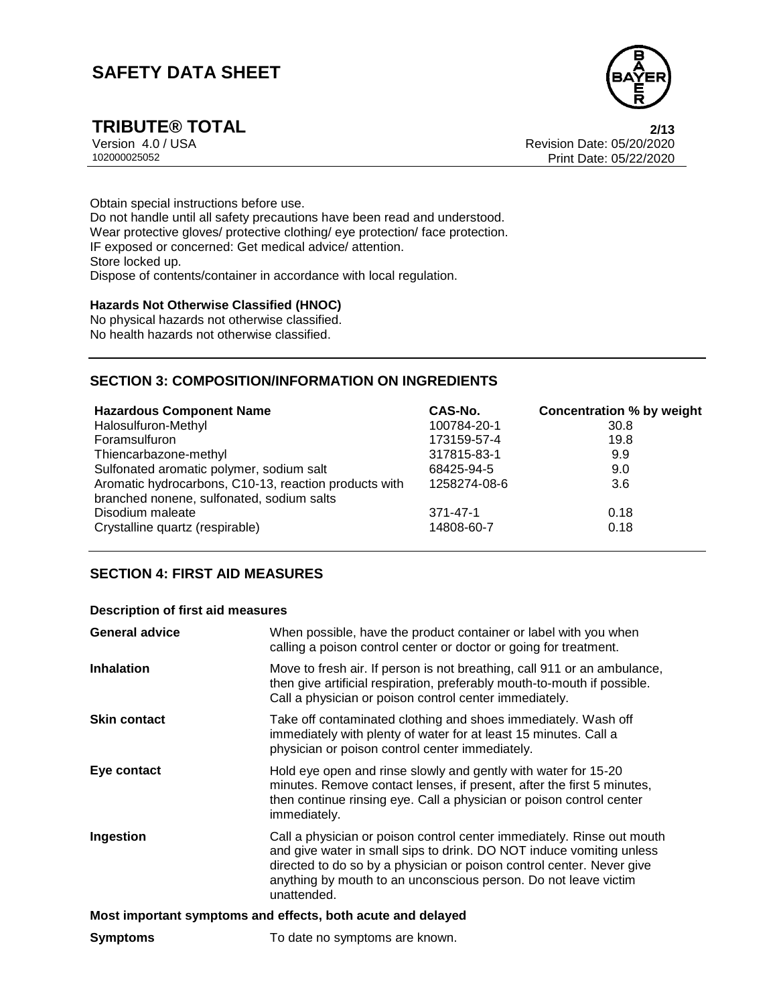

**TRIBUTE® TOTAL** 2/13<br>Version 4.0 / USA 2002020 Version 4.0 / USA Revision Date: 05/20/2020 Print Date: 05/22/2020

Obtain special instructions before use. Do not handle until all safety precautions have been read and understood. Wear protective gloves/ protective clothing/ eye protection/ face protection. IF exposed or concerned: Get medical advice/ attention. Store locked up. Dispose of contents/container in accordance with local regulation.

#### **Hazards Not Otherwise Classified (HNOC)**

No physical hazards not otherwise classified. No health hazards not otherwise classified.

#### **SECTION 3: COMPOSITION/INFORMATION ON INGREDIENTS**

| <b>Hazardous Component Name</b>                       | CAS-No.        | Concentration % by weight |
|-------------------------------------------------------|----------------|---------------------------|
| Halosulfuron-Methyl                                   | 100784-20-1    | 30.8                      |
| Foramsulfuron                                         | 173159-57-4    | 19.8                      |
| Thiencarbazone-methyl                                 | 317815-83-1    | 9.9                       |
| Sulfonated aromatic polymer, sodium salt              | 68425-94-5     | 9.0                       |
| Aromatic hydrocarbons, C10-13, reaction products with | 1258274-08-6   | 3.6                       |
| branched nonene, sulfonated, sodium salts             |                |                           |
| Disodium maleate                                      | $371 - 47 - 1$ | 0.18                      |
| Crystalline quartz (respirable)                       | 14808-60-7     | 0.18                      |

#### **SECTION 4: FIRST AID MEASURES**

#### **Description of first aid measures**

| <b>General advice</b> | When possible, have the product container or label with you when<br>calling a poison control center or doctor or going for treatment.                                                                                                                                                                     |
|-----------------------|-----------------------------------------------------------------------------------------------------------------------------------------------------------------------------------------------------------------------------------------------------------------------------------------------------------|
| <b>Inhalation</b>     | Move to fresh air. If person is not breathing, call 911 or an ambulance,<br>then give artificial respiration, preferably mouth-to-mouth if possible.<br>Call a physician or poison control center immediately.                                                                                            |
| <b>Skin contact</b>   | Take off contaminated clothing and shoes immediately. Wash off<br>immediately with plenty of water for at least 15 minutes. Call a<br>physician or poison control center immediately.                                                                                                                     |
| Eye contact           | Hold eye open and rinse slowly and gently with water for 15-20<br>minutes. Remove contact lenses, if present, after the first 5 minutes,<br>then continue rinsing eye. Call a physician or poison control center<br>immediately.                                                                          |
| Ingestion             | Call a physician or poison control center immediately. Rinse out mouth<br>and give water in small sips to drink. DO NOT induce vomiting unless<br>directed to do so by a physician or poison control center. Never give<br>anything by mouth to an unconscious person. Do not leave victim<br>unattended. |
|                       | Most important symptoms and effects, both acute and delayed                                                                                                                                                                                                                                               |
| <b>Symptoms</b>       | To date no symptoms are known.                                                                                                                                                                                                                                                                            |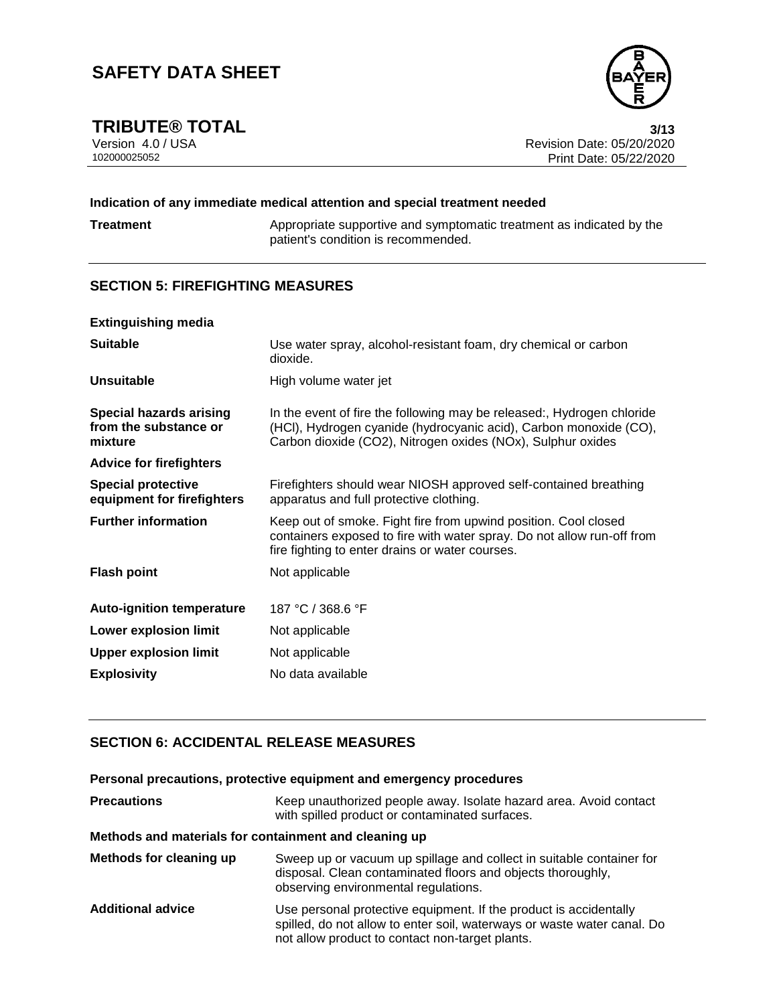

**TRIBUTE® TOTAL** 3/13<br>Version 4.0 / USA 3/13<br>Revision Date: 05/20/2020 Version 4.0 / USA Revision Date: 05/20/2020 Print Date: 05/22/2020

#### **Indication of any immediate medical attention and special treatment needed**

**Treatment** Appropriate supportive and symptomatic treatment as indicated by the patient's condition is recommended.

#### **SECTION 5: FIREFIGHTING MEASURES**

| <b>Extinguishing media</b>                                         |                                                                                                                                                                                                            |
|--------------------------------------------------------------------|------------------------------------------------------------------------------------------------------------------------------------------------------------------------------------------------------------|
| <b>Suitable</b>                                                    | Use water spray, alcohol-resistant foam, dry chemical or carbon<br>dioxide.                                                                                                                                |
| <b>Unsuitable</b>                                                  | High volume water jet                                                                                                                                                                                      |
| <b>Special hazards arising</b><br>from the substance or<br>mixture | In the event of fire the following may be released:, Hydrogen chloride<br>(HCI), Hydrogen cyanide (hydrocyanic acid), Carbon monoxide (CO),<br>Carbon dioxide (CO2), Nitrogen oxides (NOx), Sulphur oxides |
| <b>Advice for firefighters</b>                                     |                                                                                                                                                                                                            |
| <b>Special protective</b><br>equipment for firefighters            | Firefighters should wear NIOSH approved self-contained breathing<br>apparatus and full protective clothing.                                                                                                |
| <b>Further information</b>                                         | Keep out of smoke. Fight fire from upwind position. Cool closed<br>containers exposed to fire with water spray. Do not allow run-off from<br>fire fighting to enter drains or water courses.               |
| <b>Flash point</b>                                                 | Not applicable                                                                                                                                                                                             |
| <b>Auto-ignition temperature</b>                                   | 187 °C / 368.6 °F                                                                                                                                                                                          |
| Lower explosion limit                                              | Not applicable                                                                                                                                                                                             |
| <b>Upper explosion limit</b>                                       | Not applicable                                                                                                                                                                                             |
| <b>Explosivity</b>                                                 | No data available                                                                                                                                                                                          |

#### **SECTION 6: ACCIDENTAL RELEASE MEASURES**

|                                                       | Personal precautions, protective equipment and emergency procedures                                                                                                                             |  |
|-------------------------------------------------------|-------------------------------------------------------------------------------------------------------------------------------------------------------------------------------------------------|--|
| <b>Precautions</b>                                    | Keep unauthorized people away. Isolate hazard area. Avoid contact<br>with spilled product or contaminated surfaces.                                                                             |  |
| Methods and materials for containment and cleaning up |                                                                                                                                                                                                 |  |
| Methods for cleaning up                               | Sweep up or vacuum up spillage and collect in suitable container for<br>disposal. Clean contaminated floors and objects thoroughly,<br>observing environmental regulations.                     |  |
| <b>Additional advice</b>                              | Use personal protective equipment. If the product is accidentally<br>spilled, do not allow to enter soil, waterways or waste water canal. Do<br>not allow product to contact non-target plants. |  |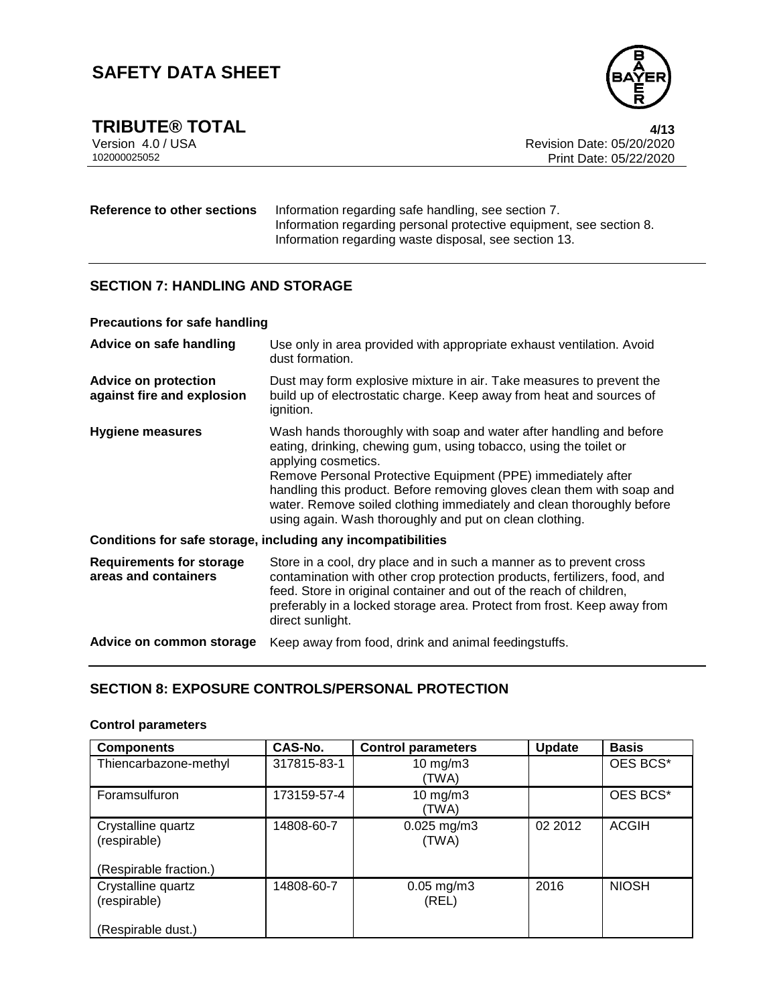

**TRIBUTE® TOTAL** 4/13<br>Version 4.0 / USA 4/13<br>Revision Date: 05/20/2020 Version 4.0 / USA Revision Date: 05/20/2020 Print Date: 05/22/2020

#### **Reference to other sections** Information regarding safe handling, see section 7. Information regarding personal protective equipment, see section 8. Information regarding waste disposal, see section 13.

#### **SECTION 7: HANDLING AND STORAGE**

#### **Precautions for safe handling**

| Advice on safe handling                                      | Use only in area provided with appropriate exhaust ventilation. Avoid<br>dust formation.                                                                                                                                                                                                                                                                                                                                                      |  |
|--------------------------------------------------------------|-----------------------------------------------------------------------------------------------------------------------------------------------------------------------------------------------------------------------------------------------------------------------------------------------------------------------------------------------------------------------------------------------------------------------------------------------|--|
| <b>Advice on protection</b><br>against fire and explosion    | Dust may form explosive mixture in air. Take measures to prevent the<br>build up of electrostatic charge. Keep away from heat and sources of<br>ignition.                                                                                                                                                                                                                                                                                     |  |
| Hygiene measures                                             | Wash hands thoroughly with soap and water after handling and before<br>eating, drinking, chewing gum, using tobacco, using the toilet or<br>applying cosmetics.<br>Remove Personal Protective Equipment (PPE) immediately after<br>handling this product. Before removing gloves clean them with soap and<br>water. Remove soiled clothing immediately and clean thoroughly before<br>using again. Wash thoroughly and put on clean clothing. |  |
| Conditions for safe storage, including any incompatibilities |                                                                                                                                                                                                                                                                                                                                                                                                                                               |  |
| <b>Requirements for storage</b><br>areas and containers      | Store in a cool, dry place and in such a manner as to prevent cross<br>contamination with other crop protection products, fertilizers, food, and<br>feed. Store in original container and out of the reach of children,<br>preferably in a locked storage area. Protect from frost. Keep away from<br>direct sunlight.                                                                                                                        |  |

# **Advice on common storage** Keep away from food, drink and animal feedingstuffs.

#### **SECTION 8: EXPOSURE CONTROLS/PERSONAL PROTECTION**

#### **Control parameters**

| <b>Components</b>                                            | CAS-No.     | <b>Control parameters</b> | <b>Update</b> | <b>Basis</b> |
|--------------------------------------------------------------|-------------|---------------------------|---------------|--------------|
| Thiencarbazone-methyl                                        | 317815-83-1 | 10 $mg/m3$<br>(TWA)       |               | OES BCS*     |
| Foramsulfuron                                                | 173159-57-4 | 10 $mg/m3$<br>(TWA)       |               | OES BCS*     |
| Crystalline quartz<br>(respirable)<br>(Respirable fraction.) | 14808-60-7  | $0.025$ mg/m3<br>(TWA)    | 02 2012       | <b>ACGIH</b> |
| Crystalline quartz<br>(respirable)                           | 14808-60-7  | $0.05$ mg/m $3$<br>(REL)  | 2016          | <b>NIOSH</b> |
| (Respirable dust.)                                           |             |                           |               |              |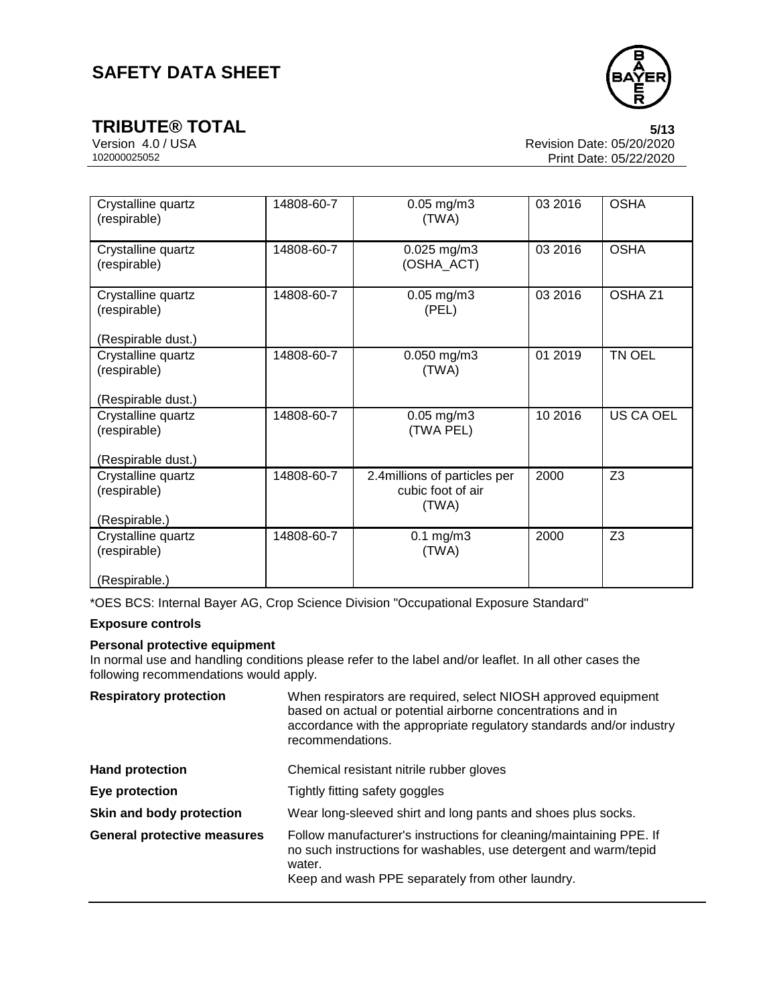

**TRIBUTE® TOTAL** 5/13<br>Version 4.0 / USA 6/13<br>Revision Date: 05/20/2020 Version 4.0 / USA Revision Date: 05/20/2020 Print Date: 05/22/2020

| Crystalline quartz<br>(respirable) | 14808-60-7 | $0.05$ mg/m $3$<br>(TWA)                                    | 03 2016 | <b>OSHA</b>        |
|------------------------------------|------------|-------------------------------------------------------------|---------|--------------------|
| Crystalline quartz<br>(respirable) | 14808-60-7 | $0.025$ mg/m3<br>(OSHA_ACT)                                 | 03 2016 | <b>OSHA</b>        |
| Crystalline quartz<br>(respirable) | 14808-60-7 | $0.05$ mg/m $3$<br>(PEL)                                    | 03 2016 | OSHA <sub>Z1</sub> |
| (Respirable dust.)                 |            |                                                             |         |                    |
| Crystalline quartz<br>(respirable) | 14808-60-7 | 0.050 mg/m3<br>(TWA)                                        | 01 2019 | TN OEL             |
| (Respirable dust.)                 |            |                                                             |         |                    |
| Crystalline quartz<br>(respirable) | 14808-60-7 | $0.05$ mg/m $3$<br>(TWA PEL)                                | 10 2016 | US CA OEL          |
| (Respirable dust.)                 |            |                                                             |         |                    |
| Crystalline quartz<br>(respirable) | 14808-60-7 | 2.4 millions of particles per<br>cubic foot of air<br>(TWA) | 2000    | Z <sub>3</sub>     |
| (Respirable.)                      |            |                                                             |         |                    |
| Crystalline quartz<br>(respirable) | 14808-60-7 | $0.1$ mg/m $3$<br>(TWA)                                     | 2000    | Z <sub>3</sub>     |
| (Respirable.)                      |            |                                                             |         |                    |

\*OES BCS: Internal Bayer AG, Crop Science Division "Occupational Exposure Standard"

#### **Exposure controls**

#### **Personal protective equipment**

In normal use and handling conditions please refer to the label and/or leaflet. In all other cases the following recommendations would apply.

| <b>Respiratory protection</b>      | When respirators are required, select NIOSH approved equipment<br>based on actual or potential airborne concentrations and in<br>accordance with the appropriate regulatory standards and/or industry<br>recommendations. |
|------------------------------------|---------------------------------------------------------------------------------------------------------------------------------------------------------------------------------------------------------------------------|
| <b>Hand protection</b>             | Chemical resistant nitrile rubber gloves                                                                                                                                                                                  |
| Eye protection                     | Tightly fitting safety goggles                                                                                                                                                                                            |
| Skin and body protection           | Wear long-sleeved shirt and long pants and shoes plus socks.                                                                                                                                                              |
| <b>General protective measures</b> | Follow manufacturer's instructions for cleaning/maintaining PPE. If<br>no such instructions for washables, use detergent and warm/tepid<br>water.<br>Keep and wash PPE separately from other laundry.                     |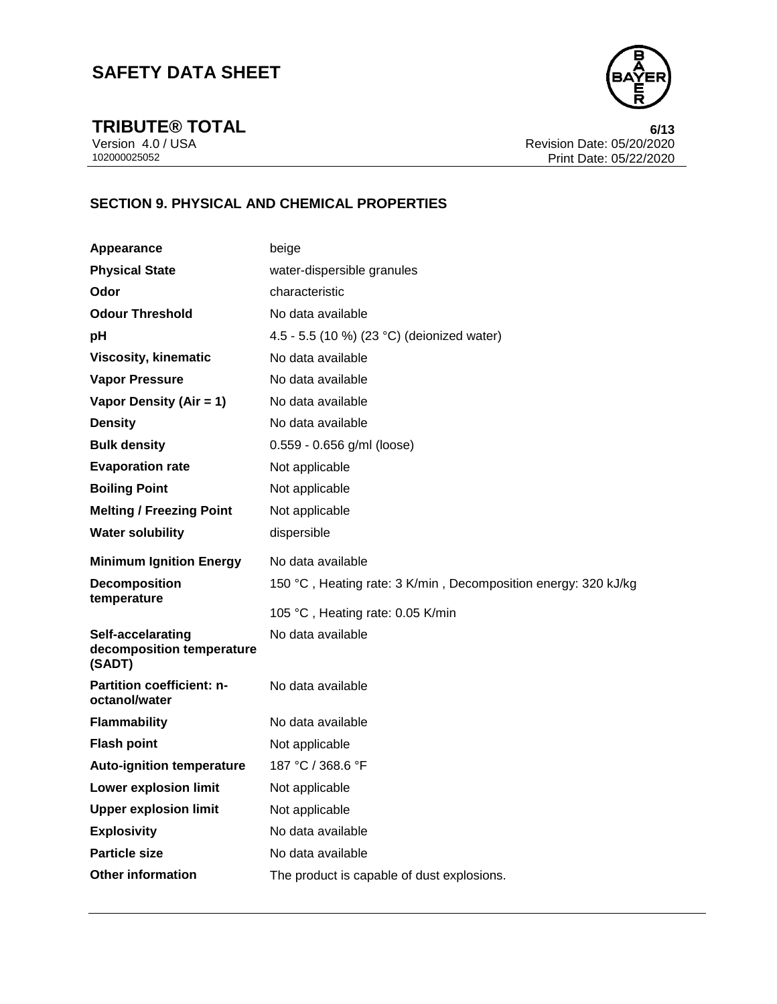

**TRIBUTE® TOTAL** 6/13<br>Version 4.0 / USA 6/13<br>Revision Date: 05/20/2020 Version 4.0 / USA **Revision Date: 05/20/2020**<br>102000025052 **Revision Date: 05/20/2020** Print Date: 05/22/2020

## **SECTION 9. PHYSICAL AND CHEMICAL PROPERTIES**

| Appearance                                               | beige                                                          |
|----------------------------------------------------------|----------------------------------------------------------------|
| <b>Physical State</b>                                    | water-dispersible granules                                     |
| Odor                                                     | characteristic                                                 |
| <b>Odour Threshold</b>                                   | No data available                                              |
| рH                                                       | 4.5 - 5.5 (10 %) (23 °C) (deionized water)                     |
| <b>Viscosity, kinematic</b>                              | No data available                                              |
| <b>Vapor Pressure</b>                                    | No data available                                              |
| Vapor Density (Air = 1)                                  | No data available                                              |
| <b>Density</b>                                           | No data available                                              |
| <b>Bulk density</b>                                      | 0.559 - 0.656 g/ml (loose)                                     |
| <b>Evaporation rate</b>                                  | Not applicable                                                 |
| <b>Boiling Point</b>                                     | Not applicable                                                 |
| <b>Melting / Freezing Point</b>                          | Not applicable                                                 |
| <b>Water solubility</b>                                  | dispersible                                                    |
| <b>Minimum Ignition Energy</b>                           | No data available                                              |
| <b>Decomposition</b><br>temperature                      | 150 °C, Heating rate: 3 K/min, Decomposition energy: 320 kJ/kg |
|                                                          | 105 °C, Heating rate: 0.05 K/min                               |
| Self-accelarating<br>decomposition temperature<br>(SADT) | No data available                                              |
| Partition coefficient: n-<br>octanol/water               | No data available                                              |
| <b>Flammability</b>                                      | No data available                                              |
| <b>Flash point</b>                                       | Not applicable                                                 |
| <b>Auto-ignition temperature</b>                         | 187 °C / 368.6 °F                                              |
| Lower explosion limit                                    | Not applicable                                                 |
| <b>Upper explosion limit</b>                             | Not applicable                                                 |
| <b>Explosivity</b>                                       | No data available                                              |
| <b>Particle size</b>                                     | No data available                                              |
| <b>Other information</b>                                 | The product is capable of dust explosions.                     |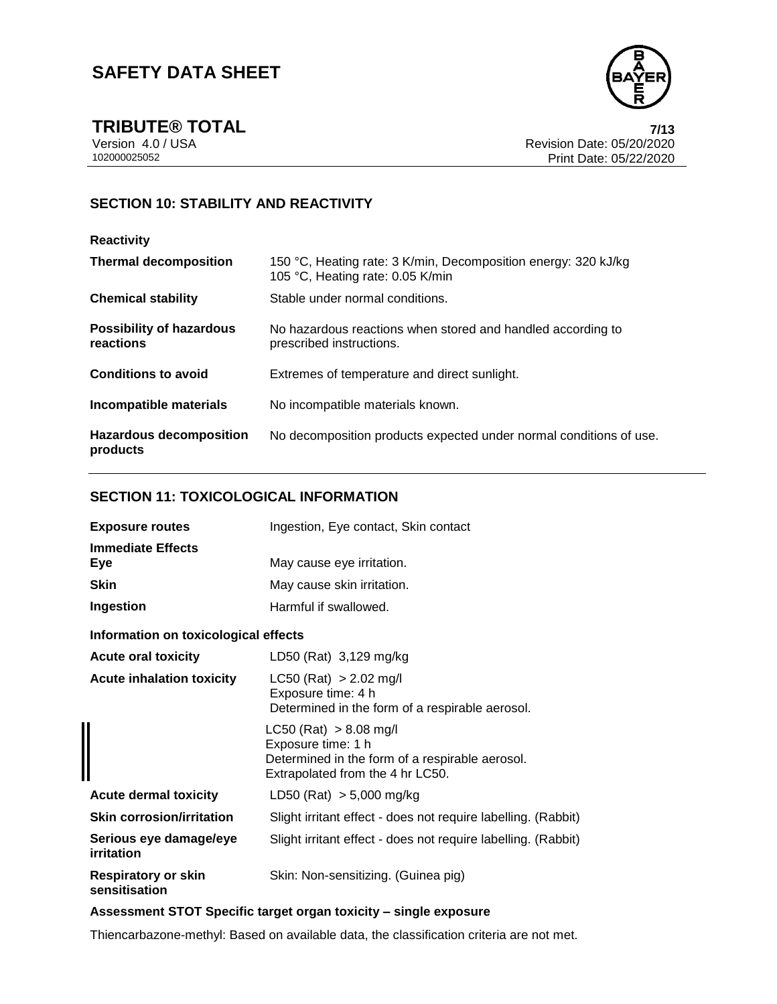

**TRIBUTE® TOTAL** 7/13<br>
Version 4.0 / USA 7/13<br>
Revision Date: 05/20/2020 Version 4.0 / USA Revision Date: 05/20/2020 Print Date: 05/22/2020

### **SECTION 10: STABILITY AND REACTIVITY**

#### **Reactivity**

| <b>Thermal decomposition</b>                 | 150 °C, Heating rate: 3 K/min, Decomposition energy: 320 kJ/kg<br>105 °C, Heating rate: 0.05 K/min |
|----------------------------------------------|----------------------------------------------------------------------------------------------------|
| <b>Chemical stability</b>                    | Stable under normal conditions.                                                                    |
| <b>Possibility of hazardous</b><br>reactions | No hazardous reactions when stored and handled according to<br>prescribed instructions.            |
| <b>Conditions to avoid</b>                   | Extremes of temperature and direct sunlight.                                                       |
| Incompatible materials                       | No incompatible materials known.                                                                   |
| <b>Hazardous decomposition</b><br>products   | No decomposition products expected under normal conditions of use.                                 |

#### **SECTION 11: TOXICOLOGICAL INFORMATION**

| <b>Exposure routes</b>                      | Ingestion, Eye contact, Skin contact                                                                                                    |
|---------------------------------------------|-----------------------------------------------------------------------------------------------------------------------------------------|
| <b>Immediate Effects</b><br>Eye             | May cause eye irritation.                                                                                                               |
| <b>Skin</b>                                 | May cause skin irritation.                                                                                                              |
| Ingestion                                   | Harmful if swallowed.                                                                                                                   |
| Information on toxicological effects        |                                                                                                                                         |
| <b>Acute oral toxicity</b>                  | LD50 (Rat) 3,129 mg/kg                                                                                                                  |
| <b>Acute inhalation toxicity</b>            | $LC50$ (Rat) > 2.02 mg/l<br>Exposure time: 4 h<br>Determined in the form of a respirable aerosol.                                       |
|                                             | $LC50$ (Rat) $> 8.08$ mg/l<br>Exposure time: 1 h<br>Determined in the form of a respirable aerosol.<br>Extrapolated from the 4 hr LC50. |
| <b>Acute dermal toxicity</b>                | LD50 (Rat) $> 5,000$ mg/kg                                                                                                              |
| <b>Skin corrosion/irritation</b>            | Slight irritant effect - does not require labelling. (Rabbit)                                                                           |
| Serious eye damage/eye<br>irritation        | Slight irritant effect - does not require labelling. (Rabbit)                                                                           |
| <b>Respiratory or skin</b><br>sensitisation | Skin: Non-sensitizing. (Guinea pig)                                                                                                     |

#### **Assessment STOT Specific target organ toxicity – single exposure**

Thiencarbazone-methyl: Based on available data, the classification criteria are not met.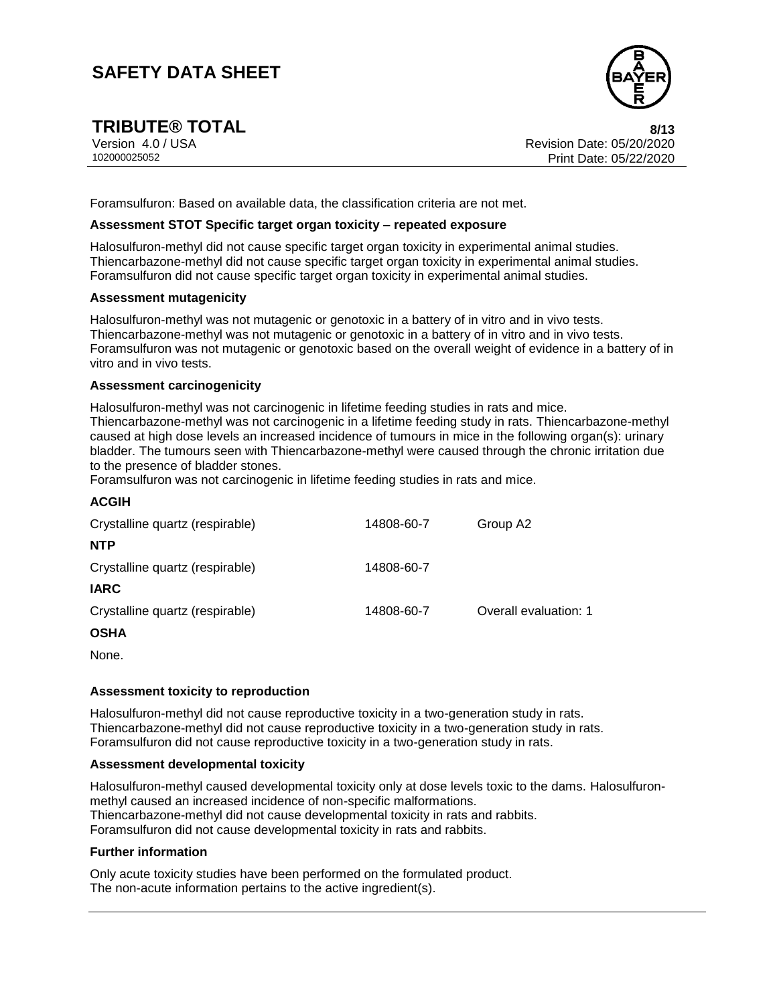

**TRIBUTE® TOTAL** 8/13<br>
Version 4.0 / USA 8/13<br>
Revision Date: 05/20/2020 Version 4.0 / USA Revision Date: 05/20/2020<br>102000025052 Print Date: 05/20/2020 Print Date: 05/22/2020 Print Date: 05/22/2020

Foramsulfuron: Based on available data, the classification criteria are not met.

#### **Assessment STOT Specific target organ toxicity – repeated exposure**

Halosulfuron-methyl did not cause specific target organ toxicity in experimental animal studies. Thiencarbazone-methyl did not cause specific target organ toxicity in experimental animal studies. Foramsulfuron did not cause specific target organ toxicity in experimental animal studies.

#### **Assessment mutagenicity**

Halosulfuron-methyl was not mutagenic or genotoxic in a battery of in vitro and in vivo tests. Thiencarbazone-methyl was not mutagenic or genotoxic in a battery of in vitro and in vivo tests. Foramsulfuron was not mutagenic or genotoxic based on the overall weight of evidence in a battery of in vitro and in vivo tests.

#### **Assessment carcinogenicity**

Halosulfuron-methyl was not carcinogenic in lifetime feeding studies in rats and mice. Thiencarbazone-methyl was not carcinogenic in a lifetime feeding study in rats. Thiencarbazone-methyl caused at high dose levels an increased incidence of tumours in mice in the following organ(s): urinary bladder. The tumours seen with Thiencarbazone-methyl were caused through the chronic irritation due to the presence of bladder stones.

Foramsulfuron was not carcinogenic in lifetime feeding studies in rats and mice.

| <b>ACGIH</b>                    |            |                       |
|---------------------------------|------------|-----------------------|
| Crystalline quartz (respirable) | 14808-60-7 | Group A2              |
| <b>NTP</b>                      |            |                       |
| Crystalline quartz (respirable) | 14808-60-7 |                       |
| <b>IARC</b>                     |            |                       |
| Crystalline quartz (respirable) | 14808-60-7 | Overall evaluation: 1 |
| <b>OSHA</b>                     |            |                       |

None.

#### **Assessment toxicity to reproduction**

Halosulfuron-methyl did not cause reproductive toxicity in a two-generation study in rats. Thiencarbazone-methyl did not cause reproductive toxicity in a two-generation study in rats. Foramsulfuron did not cause reproductive toxicity in a two-generation study in rats.

#### **Assessment developmental toxicity**

Halosulfuron-methyl caused developmental toxicity only at dose levels toxic to the dams. Halosulfuronmethyl caused an increased incidence of non-specific malformations. Thiencarbazone-methyl did not cause developmental toxicity in rats and rabbits. Foramsulfuron did not cause developmental toxicity in rats and rabbits.

#### **Further information**

Only acute toxicity studies have been performed on the formulated product. The non-acute information pertains to the active ingredient(s).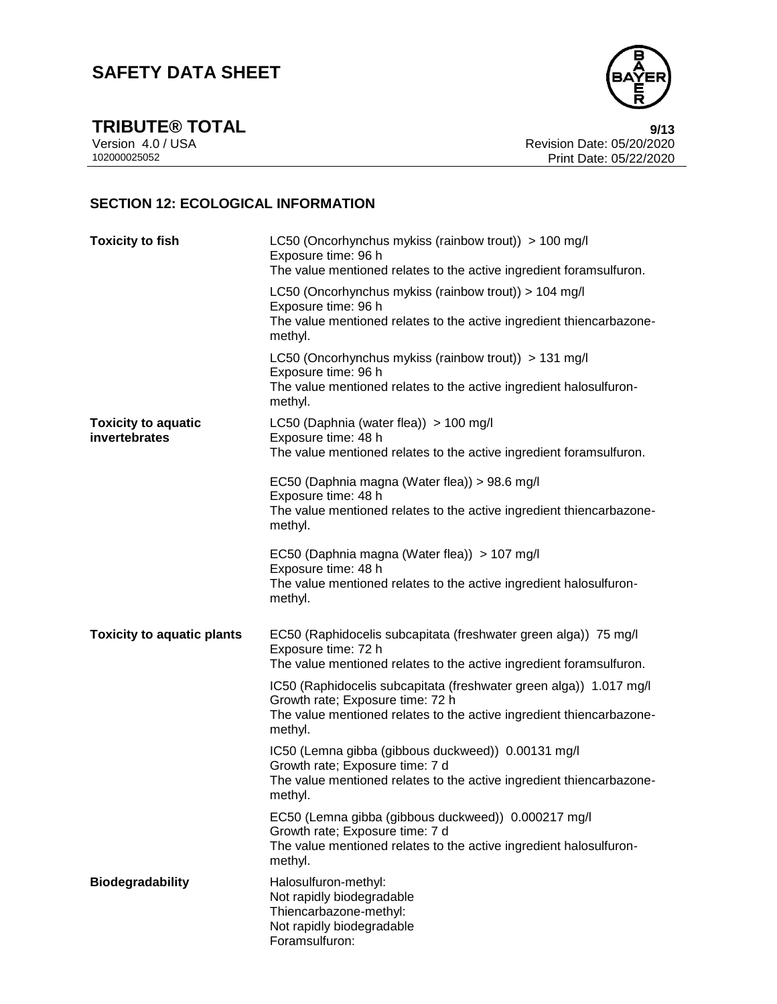

**TRIBUTE® TOTAL** 9/13<br>Version 4.0 / USA 9/13<br>Revision Date: 05/20/2020 Version 4.0 / USA **Revision Date: 05/20/2020**<br>102000025052 **Revision Date: 05/20/2020** Print Date: 05/22/2020

### **SECTION 12: ECOLOGICAL INFORMATION**

| <b>Toxicity to fish</b>                     | LC50 (Oncorhynchus mykiss (rainbow trout)) > 100 mg/l<br>Exposure time: 96 h<br>The value mentioned relates to the active ingredient foramsulfuron.                                       |
|---------------------------------------------|-------------------------------------------------------------------------------------------------------------------------------------------------------------------------------------------|
|                                             | LC50 (Oncorhynchus mykiss (rainbow trout)) > 104 mg/l<br>Exposure time: 96 h<br>The value mentioned relates to the active ingredient thiencarbazone-<br>methyl.                           |
|                                             | LC50 (Oncorhynchus mykiss (rainbow trout)) > 131 mg/l<br>Exposure time: 96 h<br>The value mentioned relates to the active ingredient halosulfuron-<br>methyl.                             |
| <b>Toxicity to aquatic</b><br>invertebrates | LC50 (Daphnia (water flea)) > 100 mg/l<br>Exposure time: 48 h<br>The value mentioned relates to the active ingredient foramsulfuron.                                                      |
|                                             | EC50 (Daphnia magna (Water flea)) > 98.6 mg/l<br>Exposure time: 48 h<br>The value mentioned relates to the active ingredient thiencarbazone-<br>methyl.                                   |
|                                             | EC50 (Daphnia magna (Water flea)) > 107 mg/l<br>Exposure time: 48 h<br>The value mentioned relates to the active ingredient halosulfuron-<br>methyl.                                      |
| <b>Toxicity to aquatic plants</b>           | EC50 (Raphidocelis subcapitata (freshwater green alga)) 75 mg/l<br>Exposure time: 72 h<br>The value mentioned relates to the active ingredient foramsulfuron.                             |
|                                             | IC50 (Raphidocelis subcapitata (freshwater green alga)) 1.017 mg/l<br>Growth rate; Exposure time: 72 h<br>The value mentioned relates to the active ingredient thiencarbazone-<br>methyl. |
|                                             | IC50 (Lemna gibba (gibbous duckweed)) 0.00131 mg/l<br>Growth rate; Exposure time: 7 d<br>The value mentioned relates to the active ingredient thiencarbazone-<br>methyl.                  |
|                                             | EC50 (Lemna gibba (gibbous duckweed)) 0.000217 mg/l<br>Growth rate; Exposure time: 7 d<br>The value mentioned relates to the active ingredient halosulfuron-<br>methyl.                   |
| <b>Biodegradability</b>                     | Halosulfuron-methyl:<br>Not rapidly biodegradable<br>Thiencarbazone-methyl:<br>Not rapidly biodegradable<br>Foramsulfuron:                                                                |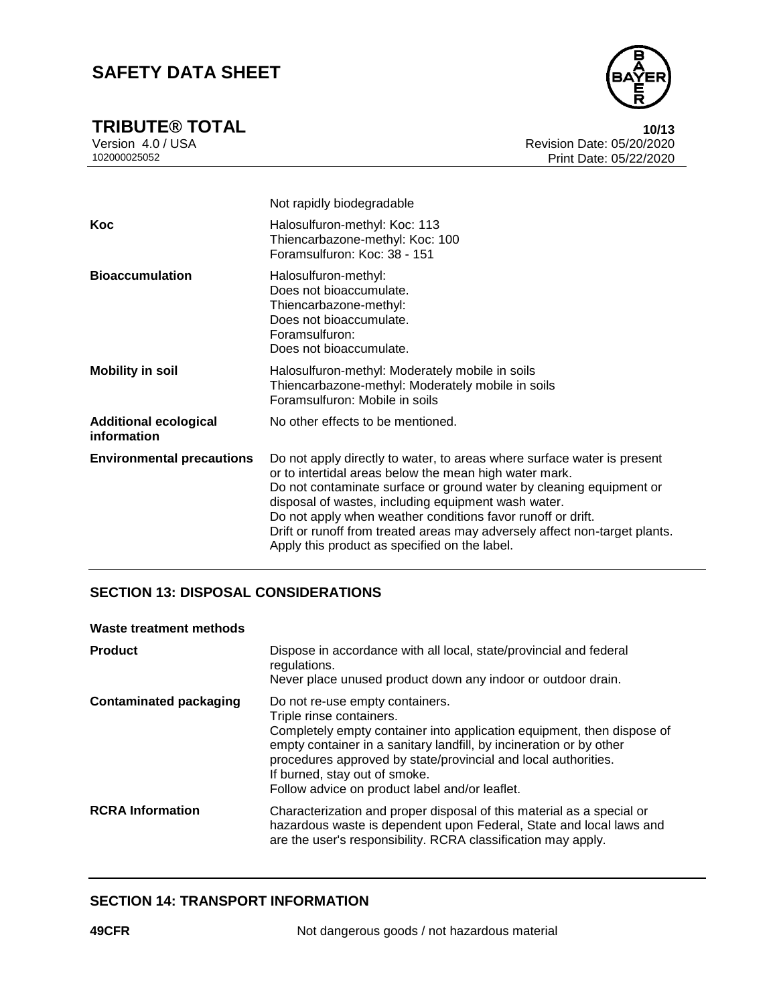

**TRIBUTE® TOTAL** 10/13<br>
Version 4.0 / USA 10/13<br>
Revision Date: 05/20/2020 Version 4.0 / USA Revision Date: 05/20/2020 Print Date: 05/22/2020

|                                             | Not rapidly biodegradable                                                                                                                                                                                                                                                                                                                                                                                                                                     |
|---------------------------------------------|---------------------------------------------------------------------------------------------------------------------------------------------------------------------------------------------------------------------------------------------------------------------------------------------------------------------------------------------------------------------------------------------------------------------------------------------------------------|
| Koc                                         | Halosulfuron-methyl: Koc: 113<br>Thiencarbazone-methyl: Koc: 100<br>Foramsulfuron: Koc: 38 - 151                                                                                                                                                                                                                                                                                                                                                              |
| <b>Bioaccumulation</b>                      | Halosulfuron-methyl:<br>Does not bioaccumulate.<br>Thiencarbazone-methyl:<br>Does not bioaccumulate.<br>Foramsulfuron:<br>Does not bioaccumulate.                                                                                                                                                                                                                                                                                                             |
| <b>Mobility in soil</b>                     | Halosulfuron-methyl: Moderately mobile in soils<br>Thiencarbazone-methyl: Moderately mobile in soils<br>Foramsulfuron: Mobile in soils                                                                                                                                                                                                                                                                                                                        |
| <b>Additional ecological</b><br>information | No other effects to be mentioned.                                                                                                                                                                                                                                                                                                                                                                                                                             |
| <b>Environmental precautions</b>            | Do not apply directly to water, to areas where surface water is present<br>or to intertidal areas below the mean high water mark.<br>Do not contaminate surface or ground water by cleaning equipment or<br>disposal of wastes, including equipment wash water.<br>Do not apply when weather conditions favor runoff or drift.<br>Drift or runoff from treated areas may adversely affect non-target plants.<br>Apply this product as specified on the label. |

#### **SECTION 13: DISPOSAL CONSIDERATIONS**

#### **Waste treatment methods**

| <b>Product</b>                | Dispose in accordance with all local, state/provincial and federal<br>regulations.<br>Never place unused product down any indoor or outdoor drain.                                                                                                                                                                                                                |
|-------------------------------|-------------------------------------------------------------------------------------------------------------------------------------------------------------------------------------------------------------------------------------------------------------------------------------------------------------------------------------------------------------------|
| <b>Contaminated packaging</b> | Do not re-use empty containers.<br>Triple rinse containers.<br>Completely empty container into application equipment, then dispose of<br>empty container in a sanitary landfill, by incineration or by other<br>procedures approved by state/provincial and local authorities.<br>If burned, stay out of smoke.<br>Follow advice on product label and/or leaflet. |
| <b>RCRA</b> Information       | Characterization and proper disposal of this material as a special or<br>hazardous waste is dependent upon Federal, State and local laws and<br>are the user's responsibility. RCRA classification may apply.                                                                                                                                                     |

#### **SECTION 14: TRANSPORT INFORMATION**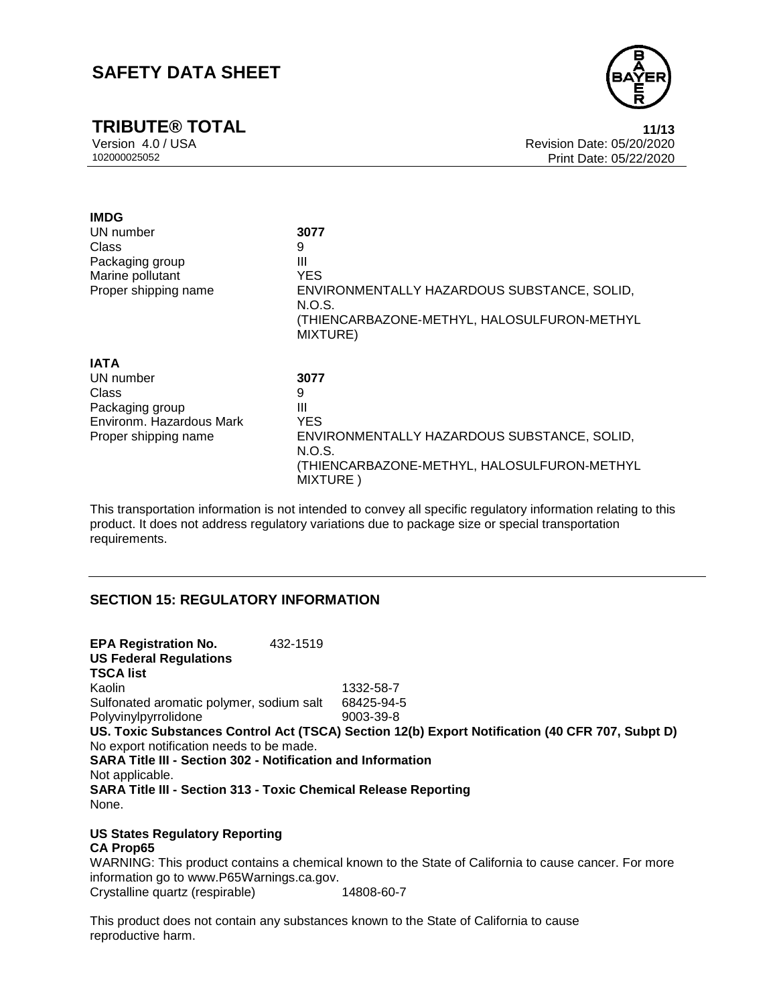# **TRIBUTE® TOTAL 11/13**



Version 4.0 / USA Revision Date: 05/20/2020 Print Date: 05/22/2020

| <b>IMDG</b>              |                                                                 |
|--------------------------|-----------------------------------------------------------------|
| UN number                | 3077                                                            |
| Class                    | 9                                                               |
| Packaging group          | Ш                                                               |
| Marine pollutant         | <b>YES</b>                                                      |
| Proper shipping name     | ENVIRONMENTALLY HAZARDOUS SUBSTANCE, SOLID,<br>N.O.S.           |
|                          | (THIENCARBAZONE-METHYL, HALOSULFURON-METHYL<br>MIXTURE)         |
| <b>IATA</b>              |                                                                 |
| UN number                | 3077                                                            |
| Class                    | 9                                                               |
| Packaging group          | Ш                                                               |
| Environm. Hazardous Mark | <b>YES</b>                                                      |
| Proper shipping name     | ENVIRONMENTALLY HAZARDOUS SUBSTANCE, SOLID,                     |
|                          | N.O.S.                                                          |
|                          | (THIENCARBAZONE-METHYL, HALOSULFURON-METHYL<br><b>MIXTURE</b> ) |

This transportation information is not intended to convey all specific regulatory information relating to this product. It does not address regulatory variations due to package size or special transportation requirements.

#### **SECTION 15: REGULATORY INFORMATION**

**EPA Registration No.** 432-1519 **US Federal Regulations TSCA list** Kaolin 1332-58-7 Sulfonated aromatic polymer, sodium salt 68425-94-5 Polyvinylpyrrolidone 9003-39-8 **US. Toxic Substances Control Act (TSCA) Section 12(b) Export Notification (40 CFR 707, Subpt D)** No export notification needs to be made. **SARA Title III - Section 302 - Notification and Information** Not applicable. **SARA Title III - Section 313 - Toxic Chemical Release Reporting** None.

**US States Regulatory Reporting CA Prop65**

WARNING: This product contains a chemical known to the State of California to cause cancer. For more information go to www.P65Warnings.ca.gov. Crystalline quartz (respirable) 14808-60-7

This product does not contain any substances known to the State of California to cause reproductive harm.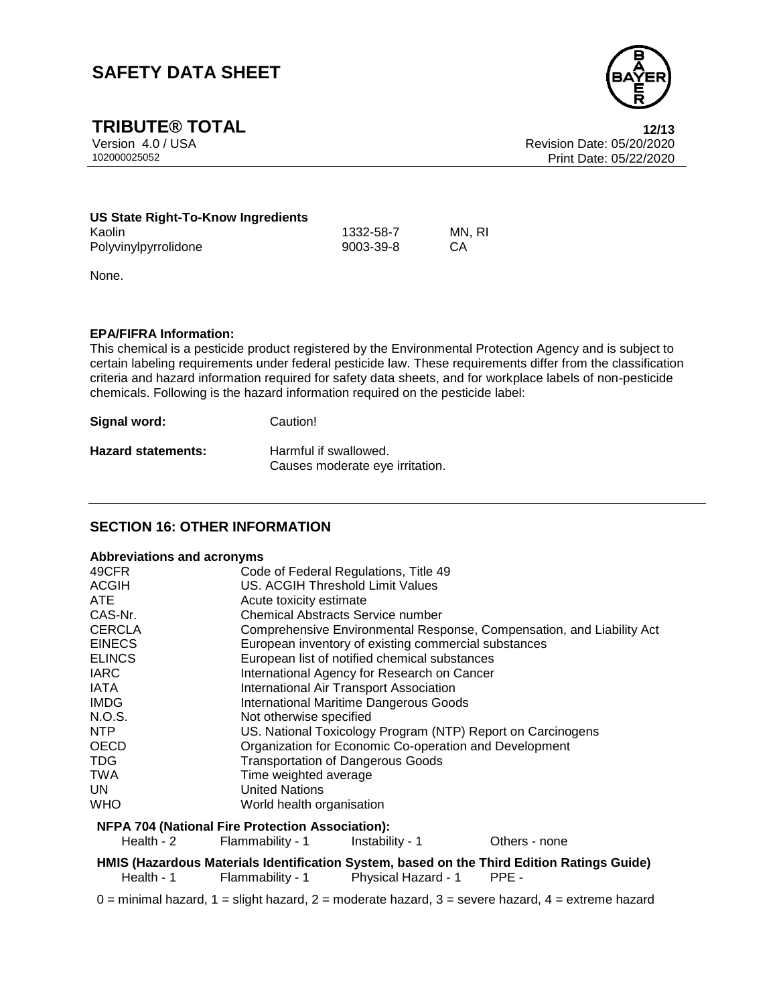

**TRIBUTE® TOTAL** 12/13<br>
Version 4.0 / USA 12/13<br>
Revision Date: 05/20/2020 Version 4.0 / USA Revision Date: 05/20/2020 Print Date: 05/22/2020

| US State Right-To-Know Ingredients |           |        |
|------------------------------------|-----------|--------|
| Kaolin                             | 1332-58-7 | MN. RI |
| Polyvinylpyrrolidone               | 9003-39-8 | - CA   |

None.

#### **EPA/FIFRA Information:**

This chemical is a pesticide product registered by the Environmental Protection Agency and is subject to certain labeling requirements under federal pesticide law. These requirements differ from the classification criteria and hazard information required for safety data sheets, and for workplace labels of non-pesticide chemicals. Following is the hazard information required on the pesticide label:

| Signal word:              | Caution!                        |
|---------------------------|---------------------------------|
| <b>Hazard statements:</b> | Harmful if swallowed.           |
|                           | Causes moderate eye irritation. |

#### **SECTION 16: OTHER INFORMATION**

#### **Abbreviations and acronyms**

| 49CFR                                                   | Code of Federal Regulations, Title 49                                 |
|---------------------------------------------------------|-----------------------------------------------------------------------|
| <b>ACGIH</b>                                            | US. ACGIH Threshold Limit Values                                      |
| ATE.                                                    | Acute toxicity estimate                                               |
| CAS-Nr.                                                 | <b>Chemical Abstracts Service number</b>                              |
| <b>CERCLA</b>                                           | Comprehensive Environmental Response, Compensation, and Liability Act |
| <b>EINECS</b>                                           | European inventory of existing commercial substances                  |
| <b>ELINCS</b>                                           | European list of notified chemical substances                         |
| <b>IARC</b>                                             | International Agency for Research on Cancer                           |
| IATA                                                    | International Air Transport Association                               |
| <b>IMDG</b>                                             | <b>International Maritime Dangerous Goods</b>                         |
| N.O.S.                                                  | Not otherwise specified                                               |
| NTP.                                                    | US. National Toxicology Program (NTP) Report on Carcinogens           |
| <b>OECD</b>                                             | Organization for Economic Co-operation and Development                |
| <b>TDG</b>                                              | <b>Transportation of Dangerous Goods</b>                              |
| <b>TWA</b>                                              | Time weighted average                                                 |
| UN.                                                     | <b>United Nations</b>                                                 |
| <b>WHO</b>                                              | World health organisation                                             |
| <b>NFPA 704 (National Fire Protection Association):</b> |                                                                       |

Health - 2 Flammability - 1 Instability - 1 Cthers - none

**HMIS (Hazardous Materials Identification System, based on the Third Edition Ratings Guide)** Health - 1 Flammability - 1 Physical Hazard - 1 PPE -

 $0 =$  minimal hazard,  $1 =$  slight hazard,  $2 =$  moderate hazard,  $3 =$  severe hazard,  $4 =$  extreme hazard